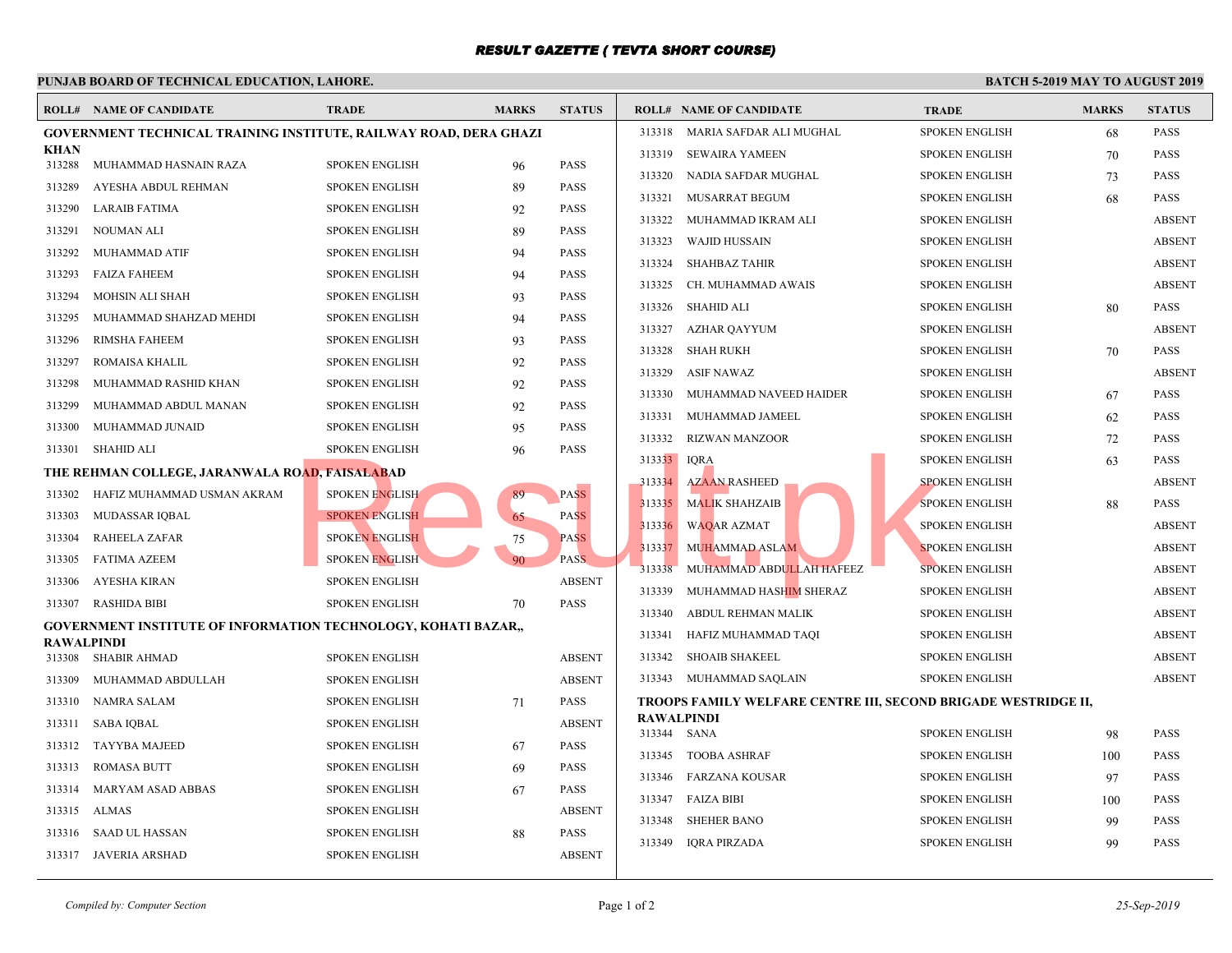## *RESULT GAZETTE ( TEVTA SHORT COURSE)*

|                       | PUNJAB BOARD OF TECHNICAL EDUCATION, LAHORE.                             |                       |              |               |                                  |                                             |              |  |  |  |  |
|-----------------------|--------------------------------------------------------------------------|-----------------------|--------------|---------------|----------------------------------|---------------------------------------------|--------------|--|--|--|--|
|                       | <b>ROLL# NAME OF CANDIDATE</b>                                           | <b>TRADE</b>          | <b>MARKS</b> | <b>STATUS</b> |                                  | <b>ROLL# NAME OF CANDIDATE</b>              | <b>TRAL</b>  |  |  |  |  |
|                       | <b>GOVERNMENT TECHNICAL TRAINING INSTITUTE, RAILWAY ROAD, DERA GHAZI</b> |                       |              |               |                                  | 313318 MARIA SAFDAR ALI MUGHAL              | <b>SPOKE</b> |  |  |  |  |
| <b>KHAN</b><br>313288 | MUHAMMAD HASNAIN RAZA                                                    | <b>SPOKEN ENGLISH</b> |              | <b>PASS</b>   | 313319                           | SEWAIRA YAMEEN                              | <b>SPOKE</b> |  |  |  |  |
| 313289                | AYESHA ABDUL REHMAN                                                      | <b>SPOKEN ENGLISH</b> | 96<br>89     | <b>PASS</b>   | 313320                           | NADIA SAFDAR MUGHAL                         | <b>SPOKE</b> |  |  |  |  |
| 313290                | LARAIB FATIMA                                                            | <b>SPOKEN ENGLISH</b> |              | <b>PASS</b>   | 313321                           | MUSARRAT BEGUM                              | <b>SPOKE</b> |  |  |  |  |
|                       |                                                                          |                       | 92           |               | 313322                           | MUHAMMAD IKRAM ALI                          | <b>SPOKE</b> |  |  |  |  |
| 313291                | NOUMAN ALI                                                               | <b>SPOKEN ENGLISH</b> | 89           | <b>PASS</b>   | 313323                           | WAJID HUSSAIN                               | <b>SPOKI</b> |  |  |  |  |
| 313292                | MUHAMMAD ATIF                                                            | <b>SPOKEN ENGLISH</b> | 94           | <b>PASS</b>   | 313324                           | SHAHBAZ TAHIR                               | <b>SPOKI</b> |  |  |  |  |
| 313293                | FAIZA FAHEEM                                                             | <b>SPOKEN ENGLISH</b> | 94           | <b>PASS</b>   | 313325                           | CH. MUHAMMAD AWAIS                          | <b>SPOKF</b> |  |  |  |  |
| 313294                | MOHSIN ALI SHAH                                                          | <b>SPOKEN ENGLISH</b> | 93           | <b>PASS</b>   | 313326                           | SHAHID ALI                                  | <b>SPOKE</b> |  |  |  |  |
| 313295                | MUHAMMAD SHAHZAD MEHDI                                                   | <b>SPOKEN ENGLISH</b> | 94           | <b>PASS</b>   | 313327                           | AZHAR QAYYUM                                | <b>SPOKE</b> |  |  |  |  |
| 313296                | <b>RIMSHA FAHEEM</b>                                                     | <b>SPOKEN ENGLISH</b> | 93           | <b>PASS</b>   | 313328                           | SHAH RUKH                                   | <b>SPOKE</b> |  |  |  |  |
| 313297                | ROMAISA KHALIL                                                           | <b>SPOKEN ENGLISH</b> | 92           | <b>PASS</b>   | 313329                           | ASIF NAWAZ                                  | <b>SPOKE</b> |  |  |  |  |
| 313298                | MUHAMMAD RASHID KHAN                                                     | <b>SPOKEN ENGLISH</b> | 92           | <b>PASS</b>   | 313330                           | MUHAMMAD NAVEED HAIDER                      | <b>SPOKE</b> |  |  |  |  |
| 313299                | MUHAMMAD ABDUL MANAN                                                     | <b>SPOKEN ENGLISH</b> | 92           | <b>PASS</b>   | 313331                           | MUHAMMAD JAMEEL                             | <b>SPOKE</b> |  |  |  |  |
| 313300                | MUHAMMAD JUNAID                                                          | <b>SPOKEN ENGLISH</b> | 95           | <b>PASS</b>   | 313332                           | RIZWAN MANZOOR                              | <b>SPOKE</b> |  |  |  |  |
| 313301                | SHAHID ALI                                                               | <b>SPOKEN ENGLISH</b> | 96           | <b>PASS</b>   | 313333                           | <b>IQRA</b>                                 | <b>SPOKE</b> |  |  |  |  |
|                       | THE REHMAN COLLEGE, JARANWALA ROAD, FAISALABAD                           |                       |              |               | 313334                           |                                             | <b>SPOKE</b> |  |  |  |  |
| 313302                | HAFIZ MUHAMMAD USMAN AKRAM                                               | <b>SPOKEN ENGLISH</b> | 89           | <b>PASS</b>   | 313335                           | <b>AZAAN RASHEED</b>                        | <b>SPOKE</b> |  |  |  |  |
| 313303                | MUDASSAR IQBAL                                                           | <b>SPOKEN ENGLISH</b> | 65           | <b>PASS</b>   |                                  | <b>MALIK SHAHZAIB</b>                       |              |  |  |  |  |
| 313304                | <b>RAHEELA ZAFAR</b>                                                     | <b>SPOKEN ENGLISH</b> | 75           | <b>PASS</b>   | 313336                           | <b>WAQAR AZMAT</b>                          | <b>SPOKE</b> |  |  |  |  |
| 313305                | FATIMA AZEEM                                                             | <b>SPOKEN ENGLISH</b> | 90           | <b>PASS</b>   | 313337                           | MUHAMMAD ASLAM                              | <b>SPOKI</b> |  |  |  |  |
| 313306                | AYESHA KIRAN                                                             | <b>SPOKEN ENGLISH</b> |              | <b>ABSENT</b> | 313338                           | MUHAMMAD ABDULLAH HAFEEZ                    | <b>SPOKE</b> |  |  |  |  |
| 313307                | <b>RASHIDA BIBI</b>                                                      | <b>SPOKEN ENGLISH</b> | 70           | <b>PASS</b>   | 313339                           | MUHAMMAD HASHIM SHERAZ                      | <b>SPOKE</b> |  |  |  |  |
|                       | <b>GOVERNMENT INSTITUTE OF INFORMATION TECHNOLOGY, KOHATI BAZAR.,</b>    |                       |              |               | 313340                           | ABDUL REHMAN MALIK                          | <b>SPOKE</b> |  |  |  |  |
| <b>RAWALPINDI</b>     |                                                                          |                       |              |               | 313341                           | HAFIZ MUHAMMAD TAQI                         | <b>SPOKE</b> |  |  |  |  |
|                       | 313308 SHABIR AHMAD                                                      | <b>SPOKEN ENGLISH</b> |              | <b>ABSENT</b> | 313342                           | SHOAIB SHAKEEL                              | <b>SPOKE</b> |  |  |  |  |
| 313309                | MUHAMMAD ABDULLAH                                                        | <b>SPOKEN ENGLISH</b> |              | <b>ABSENT</b> |                                  | 313343 MUHAMMAD SAQLAIN                     | <b>SPOKE</b> |  |  |  |  |
| 313310                | NAMRA SALAM                                                              | <b>SPOKEN ENGLISH</b> | 71           | <b>PASS</b>   |                                  | TROOPS FAMILY WELFARE CENTRE III, SECOND BI |              |  |  |  |  |
| 313311                | SABA IQBAL                                                               | <b>SPOKEN ENGLISH</b> |              | <b>ABSENT</b> | <b>RAWALPINDI</b><br>313344 SANA |                                             | <b>SPOKE</b> |  |  |  |  |
| 313312                | TAYYBA MAJEED                                                            | <b>SPOKEN ENGLISH</b> | 67           | <b>PASS</b>   |                                  | 313345 TOOBA ASHRAF                         | <b>SPOKE</b> |  |  |  |  |
| 313313                | <b>ROMASA BUTT</b>                                                       | <b>SPOKEN ENGLISH</b> | 69           | <b>PASS</b>   |                                  | 313346 FARZANA KOUSAR                       | <b>SPOKE</b> |  |  |  |  |
| 313314                | MARYAM ASAD ABBAS                                                        | <b>SPOKEN ENGLISH</b> | 67           | <b>PASS</b>   |                                  | 313347 FAIZA BIBI                           | <b>SPOKE</b> |  |  |  |  |
|                       | 313315 ALMAS                                                             | <b>SPOKEN ENGLISH</b> |              | <b>ABSENT</b> | 313348                           | <b>SHEHER BANO</b>                          | <b>SPOKI</b> |  |  |  |  |
|                       | 313316 SAAD UL HASSAN                                                    | <b>SPOKEN ENGLISH</b> | 88           | <b>PASS</b>   |                                  |                                             |              |  |  |  |  |
|                       | 313317 JAVERIA ARSHAD                                                    | <b>SPOKEN ENGLISH</b> |              | <b>ABSENT</b> |                                  | 313349 IQRA PIRZADA                         | <b>SPOKE</b> |  |  |  |  |